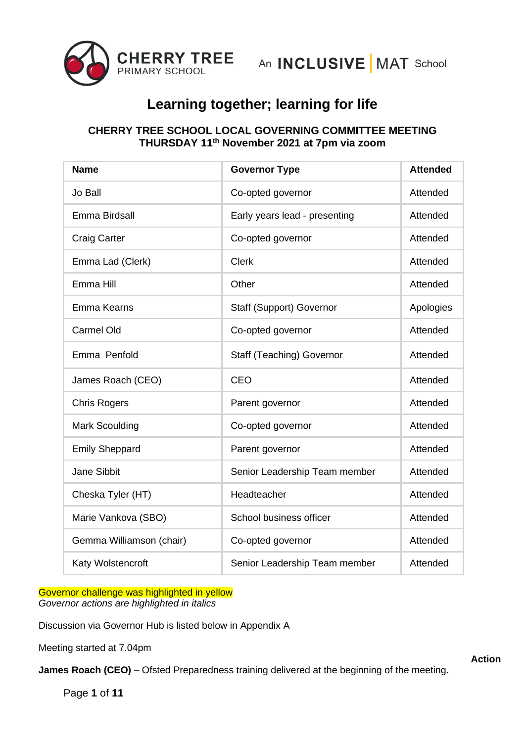

## **CHERRY TREE SCHOOL LOCAL GOVERNING COMMITTEE MEETING THURSDAY 11th November 2021 at 7pm via zoom**

| <b>Name</b>              | <b>Governor Type</b>            | <b>Attended</b> |
|--------------------------|---------------------------------|-----------------|
| Jo Ball                  | Co-opted governor               | Attended        |
| Emma Birdsall            | Early years lead - presenting   | Attended        |
| <b>Craig Carter</b>      | Co-opted governor               | Attended        |
| Emma Lad (Clerk)         | <b>Clerk</b>                    | Attended        |
| Emma Hill                | Other                           | Attended        |
| Emma Kearns              | <b>Staff (Support) Governor</b> | Apologies       |
| <b>Carmel Old</b>        | Co-opted governor               | Attended        |
| Emma Penfold             | Staff (Teaching) Governor       | Attended        |
| James Roach (CEO)        | <b>CEO</b>                      | Attended        |
| <b>Chris Rogers</b>      | Parent governor                 | Attended        |
| <b>Mark Scoulding</b>    | Co-opted governor               | Attended        |
| <b>Emily Sheppard</b>    | Parent governor                 | Attended        |
| <b>Jane Sibbit</b>       | Senior Leadership Team member   | Attended        |
| Cheska Tyler (HT)        | Headteacher                     | Attended        |
| Marie Vankova (SBO)      | School business officer         | Attended        |
| Gemma Williamson (chair) | Co-opted governor               | Attended        |
| Katy Wolstencroft        | Senior Leadership Team member   | Attended        |

Governor challenge was highlighted in yellow *Governor actions are highlighted in italics*

Discussion via Governor Hub is listed below in Appendix A

Meeting started at 7.04pm

**James Roach (CEO)** – Ofsted Preparedness training delivered at the beginning of the meeting.

Page **1** of **11**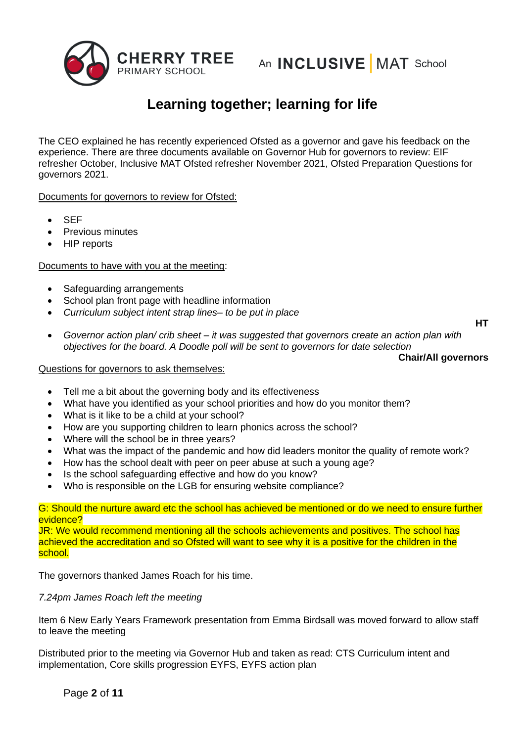

The CEO explained he has recently experienced Ofsted as a governor and gave his feedback on the experience. There are three documents available on Governor Hub for governors to review: EIF refresher October, Inclusive MAT Ofsted refresher November 2021, Ofsted Preparation Questions for governors 2021.

Documents for governors to review for Ofsted:

- SEF
- Previous minutes
- HIP reports

#### Documents to have with you at the meeting:

- Safeguarding arrangements
- School plan front page with headline information
- *Curriculum subject intent strap lines– to be put in place*

**HT**

• *Governor action plan/ crib sheet – it was suggested that governors create an action plan with objectives for the board. A Doodle poll will be sent to governors for date selection*

#### **Chair/All governors**

#### Questions for governors to ask themselves:

- Tell me a bit about the governing body and its effectiveness
- What have you identified as your school priorities and how do you monitor them?
- What is it like to be a child at your school?
- How are you supporting children to learn phonics across the school?
- Where will the school be in three years?
- What was the impact of the pandemic and how did leaders monitor the quality of remote work?
- How has the school dealt with peer on peer abuse at such a young age?
- Is the school safeguarding effective and how do you know?
- Who is responsible on the LGB for ensuring website compliance?

G: Should the nurture award etc the school has achieved be mentioned or do we need to ensure further evidence?

JR: We would recommend mentioning all the schools achievements and positives. The school has achieved the accreditation and so Ofsted will want to see why it is a positive for the children in the school.

The governors thanked James Roach for his time.

#### *7.24pm James Roach left the meeting*

Item 6 New Early Years Framework presentation from Emma Birdsall was moved forward to allow staff to leave the meeting

Distributed prior to the meeting via Governor Hub and taken as read: CTS Curriculum intent and implementation, Core skills progression EYFS, EYFS action plan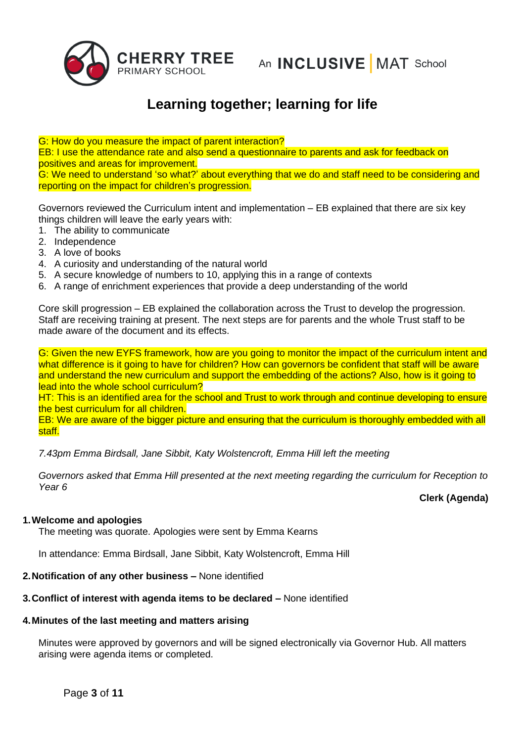

G: How do you measure the impact of parent interaction? EB: I use the attendance rate and also send a questionnaire to parents and ask for feedback on positives and areas for improvement. G: We need to understand 'so what?' about everything that we do and staff need to be considering and

reporting on the impact for children's progression.

Governors reviewed the Curriculum intent and implementation – EB explained that there are six key things children will leave the early years with:

- 1. The ability to communicate
- 2. Independence
- 3. A love of books
- 4. A curiosity and understanding of the natural world
- 5. A secure knowledge of numbers to 10, applying this in a range of contexts
- 6. A range of enrichment experiences that provide a deep understanding of the world

Core skill progression – EB explained the collaboration across the Trust to develop the progression. Staff are receiving training at present. The next steps are for parents and the whole Trust staff to be made aware of the document and its effects.

G: Given the new EYFS framework, how are you going to monitor the impact of the curriculum intent and what difference is it going to have for children? How can governors be confident that staff will be aware and understand the new curriculum and support the embedding of the actions? Also, how is it going to lead into the whole school curriculum?

HT: This is an identified area for the school and Trust to work through and continue developing to ensure the best curriculum for all children.

EB: We are aware of the bigger picture and ensuring that the curriculum is thoroughly embedded with all staff.

*7.43pm Emma Birdsall, Jane Sibbit, Katy Wolstencroft, Emma Hill left the meeting*

*Governors asked that Emma Hill presented at the next meeting regarding the curriculum for Reception to Year 6*

**Clerk (Agenda)**

### **1.Welcome and apologies**

The meeting was quorate. Apologies were sent by Emma Kearns

In attendance: Emma Birdsall, Jane Sibbit, Katy Wolstencroft, Emma Hill

**2.Notification of any other business –** None identified

### **3.Conflict of interest with agenda items to be declared –** None identified

#### **4.Minutes of the last meeting and matters arising**

Minutes were approved by governors and will be signed electronically via Governor Hub. All matters arising were agenda items or completed.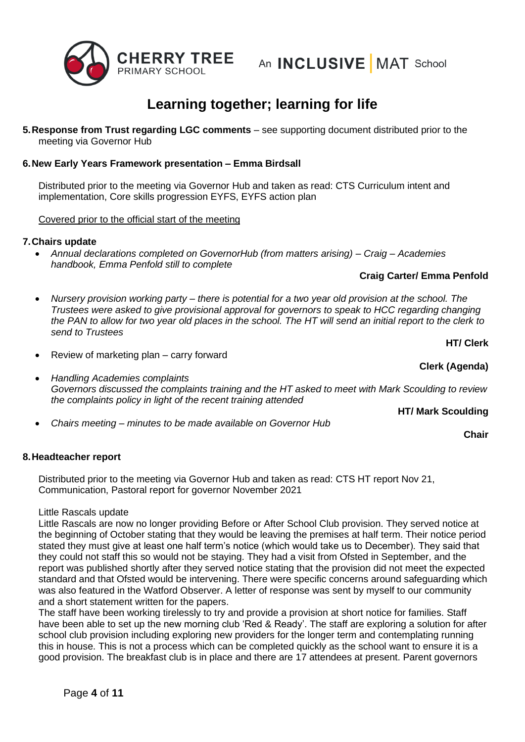

**5.Response from Trust regarding LGC comments** – see supporting document distributed prior to the meeting via Governor Hub

### **6.New Early Years Framework presentation – Emma Birdsall**

Distributed prior to the meeting via Governor Hub and taken as read: CTS Curriculum intent and implementation, Core skills progression EYFS, EYFS action plan

Covered prior to the official start of the meeting

### **7.Chairs update**

• *Annual declarations completed on GovernorHub (from matters arising) – Craig – Academies handbook, Emma Penfold still to complete*

#### **Craig Carter/ Emma Penfold**

- *Nursery provision working party – there is potential for a two year old provision at the school. The Trustees were asked to give provisional approval for governors to speak to HCC regarding changing the PAN to allow for two year old places in the school. The HT will send an initial report to the clerk to send to Trustees*
- Review of marketing plan carry forward
- *Handling Academies complaints Governors discussed the complaints training and the HT asked to meet with Mark Scoulding to review the complaints policy in light of the recent training attended*
- *Chairs meeting – minutes to be made available on Governor Hub*

### **8.Headteacher report**

Distributed prior to the meeting via Governor Hub and taken as read: CTS HT report Nov 21, Communication, Pastoral report for governor November 2021

#### Little Rascals update

Little Rascals are now no longer providing Before or After School Club provision. They served notice at the beginning of October stating that they would be leaving the premises at half term. Their notice period stated they must give at least one half term's notice (which would take us to December). They said that they could not staff this so would not be staying. They had a visit from Ofsted in September, and the report was published shortly after they served notice stating that the provision did not meet the expected standard and that Ofsted would be intervening. There were specific concerns around safeguarding which was also featured in the Watford Observer. A letter of response was sent by myself to our community and a short statement written for the papers.

The staff have been working tirelessly to try and provide a provision at short notice for families. Staff have been able to set up the new morning club 'Red & Ready'. The staff are exploring a solution for after school club provision including exploring new providers for the longer term and contemplating running this in house. This is not a process which can be completed quickly as the school want to ensure it is a good provision. The breakfast club is in place and there are 17 attendees at present. Parent governors

**HT/ Clerk**

**Chair**

**Clerk (Agenda)**

**HT/ Mark Scoulding**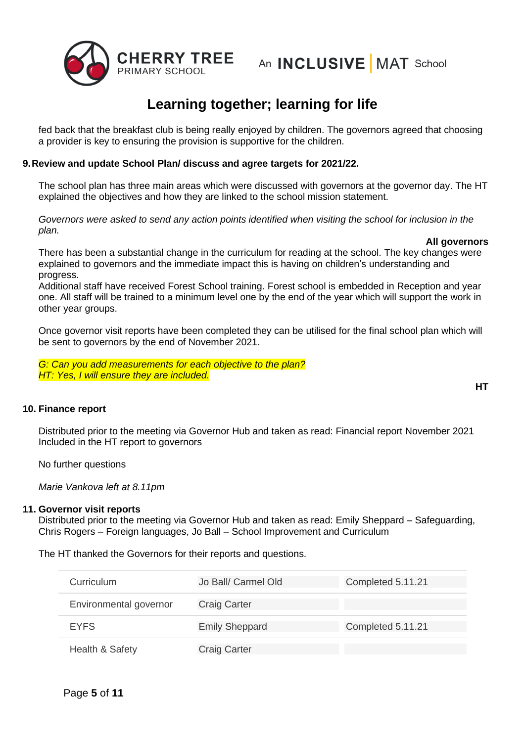

fed back that the breakfast club is being really enjoyed by children. The governors agreed that choosing a provider is key to ensuring the provision is supportive for the children.

#### **9.Review and update School Plan/ discuss and agree targets for 2021/22.**

The school plan has three main areas which were discussed with governors at the governor day. The HT explained the objectives and how they are linked to the school mission statement.

*Governors were asked to send any action points identified when visiting the school for inclusion in the plan.* 

#### **All governors**

There has been a substantial change in the curriculum for reading at the school. The key changes were explained to governors and the immediate impact this is having on children's understanding and progress.

Additional staff have received Forest School training. Forest school is embedded in Reception and year one. All staff will be trained to a minimum level one by the end of the year which will support the work in other year groups.

Once governor visit reports have been completed they can be utilised for the final school plan which will be sent to governors by the end of November 2021.

*G: Can you add measurements for each objective to the plan? HT: Yes, I will ensure they are included.*

### **10. Finance report**

Distributed prior to the meeting via Governor Hub and taken as read: Financial report November 2021 Included in the HT report to governors

No further questions

*Marie Vankova left at 8.11pm*

#### **11. Governor visit reports**

Distributed prior to the meeting via Governor Hub and taken as read: Emily Sheppard – Safeguarding, Chris Rogers – Foreign languages, Jo Ball – School Improvement and Curriculum

The HT thanked the Governors for their reports and questions.

| Curriculum             | Jo Ball/ Carmel Old   | Completed 5.11.21 |
|------------------------|-----------------------|-------------------|
| Environmental governor | <b>Craig Carter</b>   |                   |
| <b>EYFS</b>            | <b>Emily Sheppard</b> | Completed 5.11.21 |
| Health & Safety        | <b>Craig Carter</b>   |                   |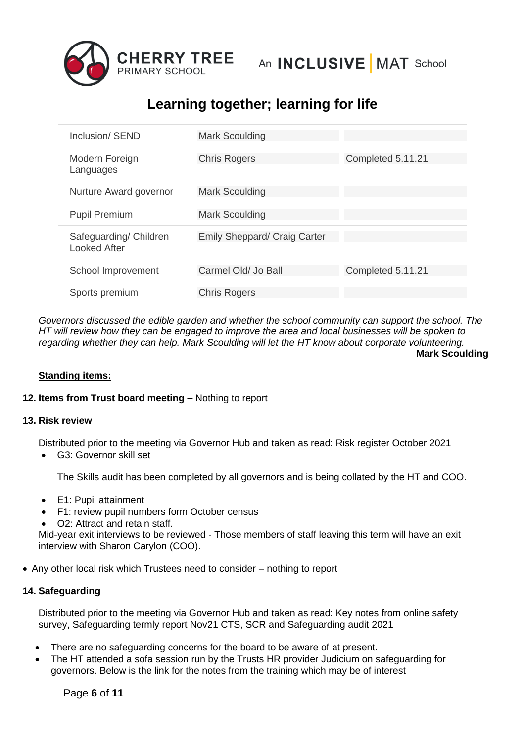

| Inclusion/ SEND                               | <b>Mark Scoulding</b>               |                   |
|-----------------------------------------------|-------------------------------------|-------------------|
| Modern Foreign<br>Languages                   | <b>Chris Rogers</b>                 | Completed 5.11.21 |
| Nurture Award governor                        | <b>Mark Scoulding</b>               |                   |
| <b>Pupil Premium</b>                          | <b>Mark Scoulding</b>               |                   |
| Safeguarding/ Children<br><b>Looked After</b> | <b>Emily Sheppard/ Craig Carter</b> |                   |
| School Improvement                            | Carmel Old/ Jo Ball                 | Completed 5.11.21 |
| Sports premium                                | <b>Chris Rogers</b>                 |                   |

*Governors discussed the edible garden and whether the school community can support the school. The HT will review how they can be engaged to improve the area and local businesses will be spoken to regarding whether they can help. Mark Scoulding will let the HT know about corporate volunteering.*  **Mark Scoulding**

#### **Standing items:**

### **12. Items from Trust board meeting –** Nothing to report

#### **13. Risk review**

Distributed prior to the meeting via Governor Hub and taken as read: Risk register October 2021

• G3: Governor skill set

The Skills audit has been completed by all governors and is being collated by the HT and COO.

- E1: Pupil attainment
- F1: review pupil numbers form October census
- O2: Attract and retain staff.

Mid-year exit interviews to be reviewed - Those members of staff leaving this term will have an exit interview with Sharon Carylon (COO).

• Any other local risk which Trustees need to consider – nothing to report

### **14. Safeguarding**

Distributed prior to the meeting via Governor Hub and taken as read: Key notes from online safety survey, Safeguarding termly report Nov21 CTS, SCR and Safeguarding audit 2021

- There are no safeguarding concerns for the board to be aware of at present.
- The HT attended a sofa session run by the Trusts HR provider Judicium on safeguarding for governors. Below is the link for the notes from the training which may be of interest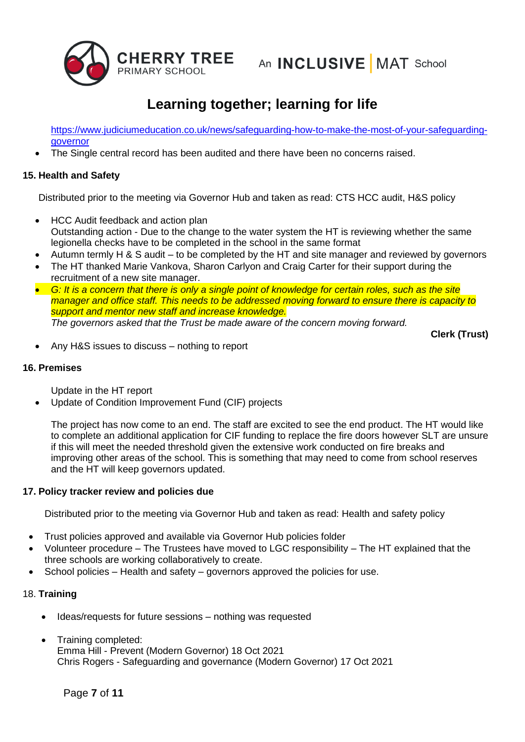

[https://www.judiciumeducation.co.uk/news/safeguarding-how-to-make-the-most-of-your-safeguarding](https://www.judiciumeducation.co.uk/news/safeguarding-how-to-make-the-most-of-your-safeguarding-governor)**[governor](https://www.judiciumeducation.co.uk/news/safeguarding-how-to-make-the-most-of-your-safeguarding-governor)** 

• The Single central record has been audited and there have been no concerns raised.

### **15. Health and Safety**

Distributed prior to the meeting via Governor Hub and taken as read: CTS HCC audit, H&S policy

- HCC Audit feedback and action plan Outstanding action - Due to the change to the water system the HT is reviewing whether the same legionella checks have to be completed in the school in the same format
- Autumn termly H & S audit to be completed by the HT and site manager and reviewed by governors
- The HT thanked Marie Vankova, Sharon Carlyon and Craig Carter for their support during the recruitment of a new site manager.
- *G: It is a concern that there is only a single point of knowledge for certain roles, such as the site manager and office staff. This needs to be addressed moving forward to ensure there is capacity to support and mentor new staff and increase knowledge. The governors asked that the Trust be made aware of the concern moving forward.*

**Clerk (Trust)**

• Any H&S issues to discuss – nothing to report

### **16. Premises**

Update in the HT report

• Update of Condition Improvement Fund (CIF) projects

The project has now come to an end. The staff are excited to see the end product. The HT would like to complete an additional application for CIF funding to replace the fire doors however SLT are unsure if this will meet the needed threshold given the extensive work conducted on fire breaks and improving other areas of the school. This is something that may need to come from school reserves and the HT will keep governors updated.

### **17. Policy tracker review and policies due**

Distributed prior to the meeting via Governor Hub and taken as read: Health and safety policy

- Trust policies approved and available via Governor Hub policies folder
- Volunteer procedure The Trustees have moved to LGC responsibility The HT explained that the three schools are working collaboratively to create.
- School policies Health and safety governors approved the policies for use.

### 18. **Training**

- Ideas/requests for future sessions nothing was requested
- Training completed: Emma Hill - Prevent (Modern Governor) 18 Oct 2021 Chris Rogers - Safeguarding and governance (Modern Governor) 17 Oct 2021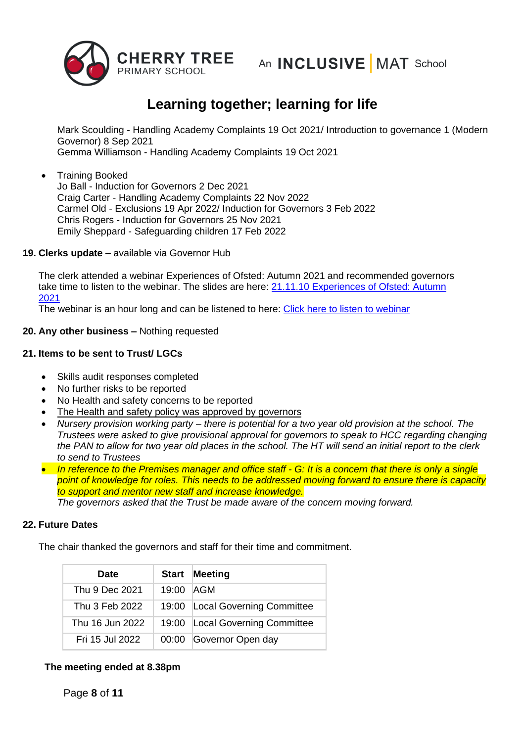

Mark Scoulding - Handling Academy Complaints 19 Oct 2021/ Introduction to governance 1 (Modern Governor) 8 Sep 2021 Gemma Williamson - Handling Academy Complaints 19 Oct 2021

• Training Booked Jo Ball - Induction for Governors 2 Dec 2021 Craig Carter - Handling Academy Complaints 22 Nov 2022 Carmel Old - Exclusions 19 Apr 2022/ Induction for Governors 3 Feb 2022 Chris Rogers - Induction for Governors 25 Nov 2021 Emily Sheppard - Safeguarding children 17 Feb 2022

#### **19. Clerks update –** available via Governor Hub

The clerk attended a webinar Experiences of Ofsted: Autumn 2021 and recommended governors take time to listen to the webinar. The slides are here: 21.11.10 Experiences of Ofsted: Autumn [2021](http://mail.governorhub.com/track/click/30059758/app.governorhub.com?p=eyJzIjoiZVFSekFmaTBNemVIaEs2ZktYY2x0SU43dEVJIiwidiI6MSwicCI6IntcInVcIjozMDA1OTc1OCxcInZcIjoxLFwidXJsXCI6XCJodHRwczpcXFwvXFxcL2FwcC5nb3Zlcm5vcmh1Yi5jb21cXFwvc1xcXC9pbWF0dHJ1c3Rib2FyZFxcXC9yZXNvdXJjZXNcXFwvNjE4YjhhY2Q5ODQ2ZTU3ZjAxNTg2Y2I1XCIsXCJpZFwiOlwiNWNhNDYzZDk4N2EwNGUwNmExZTYwNmFmMWUxZGU1ZDhcIixcInVybF9pZHNcIjpbXCIzOWMzNTQxYTM4YmM4ODEwZmRiNzZlNzZjOWI5NDg4N2FiOGI4MWRlXCJdfSJ9)

The webinar is an hour long and can be listened to here: [Click here to listen to webinar](http://mail.governorhub.com/track/click/30059758/governorsforschools.org.uk?p=eyJzIjoiazVvUi1Ual9JZ0owdnhkYVBzOHcydDZqYVBzIiwidiI6MSwicCI6IntcInVcIjozMDA1OTc1OCxcInZcIjoxLFwidXJsXCI6XCJodHRwczpcXFwvXFxcL2dvdmVybm9yc2ZvcnNjaG9vbHMub3JnLnVrXFxcL3dlYmluYXJzXFxcL2V4cGVyaWVuY2VzLW9mLW9mc3RlZC1hdXR1bW4tdGVybS0yMDIxLXdpdGgtYmV0dGVyLWdvdmVybm9yXFxcL1wiLFwiaWRcIjpcIjVjYTQ2M2Q5ODdhMDRlMDZhMWU2MDZhZjFlMWRlNWQ4XCIsXCJ1cmxfaWRzXCI6W1wiY2MxNWUwZjFhNjNjZDFjMmRmMTJjOGVlNDdjMTAzNmQxNGJjNDNlZlwiXX0ifQ)

### **20. Any other business –** Nothing requested

### **21. Items to be sent to Trust/ LGCs**

- Skills audit responses completed
- No further risks to be reported
- No Health and safety concerns to be reported
- The Health and safety policy was approved by governors
- *Nursery provision working party – there is potential for a two year old provision at the school. The Trustees were asked to give provisional approval for governors to speak to HCC regarding changing the PAN to allow for two year old places in the school. The HT will send an initial report to the clerk to send to Trustees*
- *In reference to the Premises manager and office staff - G: It is a concern that there is only a single point of knowledge for roles. This needs to be addressed moving forward to ensure there is capacity to support and mentor new staff and increase knowledge.*

*The governors asked that the Trust be made aware of the concern moving forward.* 

### **22. Future Dates**

The chair thanked the governors and staff for their time and commitment.

| <b>Date</b>     | <b>Start</b> | <b>Meeting</b>                  |
|-----------------|--------------|---------------------------------|
| Thu 9 Dec 2021  | 19:00 AGM    |                                 |
| Thu 3 Feb 2022  |              | 19:00 Local Governing Committee |
| Thu 16 Jun 2022 |              | 19:00 Local Governing Committee |
| Fri 15 Jul 2022 |              | 00:00 Governor Open day         |

## **The meeting ended at 8.38pm**

Page **8** of **11**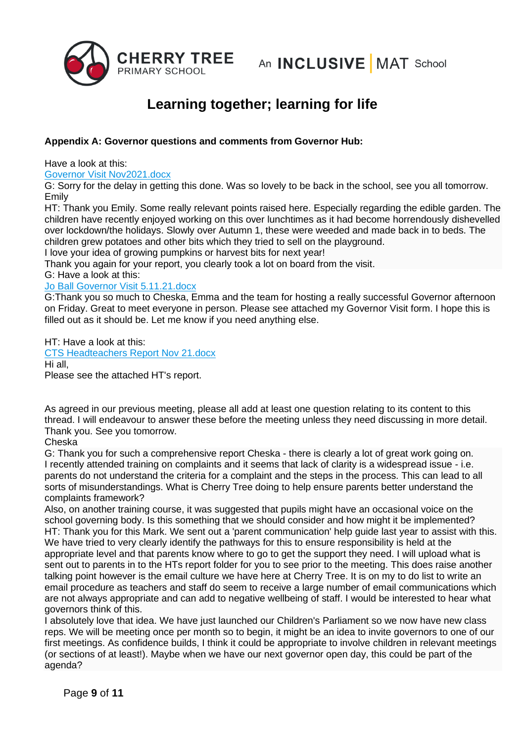

### **Appendix A: Governor questions and comments from Governor Hub:**

Have a look at this:

#### [Governor Visit Nov2021.docx](https://app.governorhub.com/g/cherrytreeprimaryschool_2/docs/618c2929d0ca00dadb2212e2)

G: Sorry for the delay in getting this done. Was so lovely to be back in the school, see you all tomorrow. Emily

HT: Thank you Emily. Some really relevant points raised here. Especially regarding the edible garden. The children have recently enjoyed working on this over lunchtimes as it had become horrendously dishevelled over lockdown/the holidays. Slowly over Autumn 1, these were weeded and made back in to beds. The children grew potatoes and other bits which they tried to sell on the playground.

I love your idea of growing pumpkins or harvest bits for next year!

Thank you again for your report, you clearly took a lot on board from the visit.

G: Have a look at this:

#### [Jo Ball Governor Visit 5.11.21.docx](https://app.governorhub.com/g/cherrytreeprimaryschool_2/docs/6188f34b422379e1b769fcdd)

G:Thank you so much to Cheska, Emma and the team for hosting a really successful Governor afternoon on Friday. Great to meet everyone in person. Please see attached my Governor Visit form. I hope this is filled out as it should be. Let me know if you need anything else.

HT: Have a look at this: [CTS Headteachers Report Nov 21.docx](https://app.governorhub.com/g/cherrytreeprimaryschool_2/docs/618417200d81e199858d3882) Hi all, Please see the attached HT's report.

As agreed in our previous meeting, please all add at least one question relating to its content to this thread. I will endeavour to answer these before the meeting unless they need discussing in more detail. Thank you. See you tomorrow.

### Cheska

G: Thank you for such a comprehensive report Cheska - there is clearly a lot of great work going on. I recently attended training on complaints and it seems that lack of clarity is a widespread issue - i.e. parents do not understand the criteria for a complaint and the steps in the process. This can lead to all sorts of misunderstandings. What is Cherry Tree doing to help ensure parents better understand the complaints framework?

Also, on another training course, it was suggested that pupils might have an occasional voice on the school governing body. Is this something that we should consider and how might it be implemented? HT: Thank you for this Mark. We sent out a 'parent communication' help guide last year to assist with this. We have tried to very clearly identify the pathways for this to ensure responsibility is held at the appropriate level and that parents know where to go to get the support they need. I will upload what is sent out to parents in to the HTs report folder for you to see prior to the meeting. This does raise another talking point however is the email culture we have here at Cherry Tree. It is on my to do list to write an email procedure as teachers and staff do seem to receive a large number of email communications which are not always appropriate and can add to negative wellbeing of staff. I would be interested to hear what governors think of this.

I absolutely love that idea. We have just launched our Children's Parliament so we now have new class reps. We will be meeting once per month so to begin, it might be an idea to invite governors to one of our first meetings. As confidence builds, I think it could be appropriate to involve children in relevant meetings (or sections of at least!). Maybe when we have our next governor open day, this could be part of the agenda?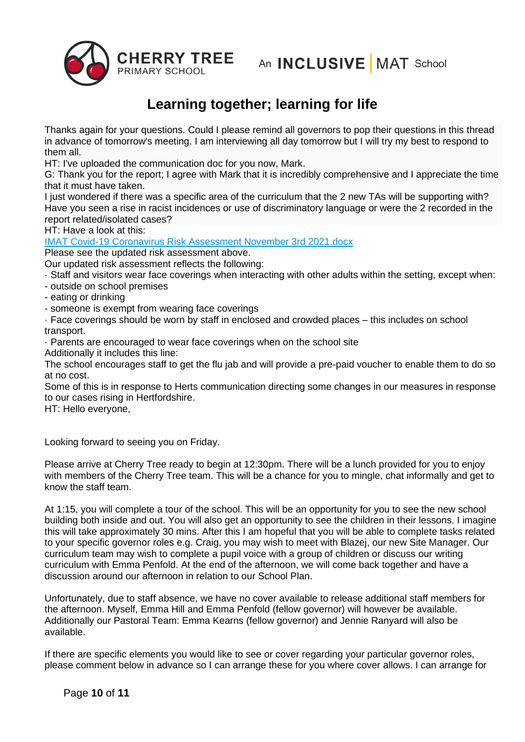

Thanks again for your questions. Could I please remind all governors to pop their questions in this thread in advance of tomorrow's meeting. I am interviewing all day tomorrow but I will try my best to respond to them all.

HT: I've uploaded the communication doc for you now, Mark.

G: Thank you for the report; I agree with Mark that it is incredibly comprehensive and I appreciate the time that it must have taken.

I just wondered if there was a specific area of the curriculum that the 2 new TAs will be supporting with? Have you seen a rise in racist incidences or use of discriminatory language or were the 2 recorded in the report related/isolated cases?

HT: Have a look at this:

[IMAT Covid-19 Coronavirus Risk Assessment November 3rd 2021.docx](https://app.governorhub.com/g/cherrytreeprimaryschool_2/docs/6182e2e4a1cebc3374a2c9fe)

Please see the updated risk assessment above.

Our updated risk assessment reflects the following:

· Staff and visitors wear face coverings when interacting with other adults within the setting, except when:

- outside on school premises
- eating or drinking
- someone is exempt from wearing face coverings
- · Face coverings should be worn by staff in enclosed and crowded places this includes on school transport.

· Parents are encouraged to wear face coverings when on the school site

Additionally it includes this line:

The school encourages staff to get the flu jab and will provide a pre-paid voucher to enable them to do so at no cost.

Some of this is in response to Herts communication directing some changes in our measures in response to our cases rising in Hertfordshire.

HT: Hello everyone,

Looking forward to seeing you on Friday.

Please arrive at Cherry Tree ready to begin at 12:30pm. There will be a lunch provided for you to enjoy with members of the Cherry Tree team. This will be a chance for you to mingle, chat informally and get to know the staff team.

At 1:15, you will complete a tour of the school. This will be an opportunity for you to see the new school building both inside and out. You will also get an opportunity to see the children in their lessons. I imagine this will take approximately 30 mins. After this I am hopeful that you will be able to complete tasks related to your specific governor roles e.g. Craig, you may wish to meet with Blazej, our new Site Manager. Our curriculum team may wish to complete a pupil voice with a group of children or discuss our writing curriculum with Emma Penfold. At the end of the afternoon, we will come back together and have a discussion around our afternoon in relation to our School Plan.

Unfortunately, due to staff absence, we have no cover available to release additional staff members for the afternoon. Myself, Emma Hill and Emma Penfold (fellow governor) will however be available. Additionally our Pastoral Team: Emma Kearns (fellow governor) and Jennie Ranyard will also be available.

If there are specific elements you would like to see or cover regarding your particular governor roles, please comment below in advance so I can arrange these for you where cover allows. I can arrange for